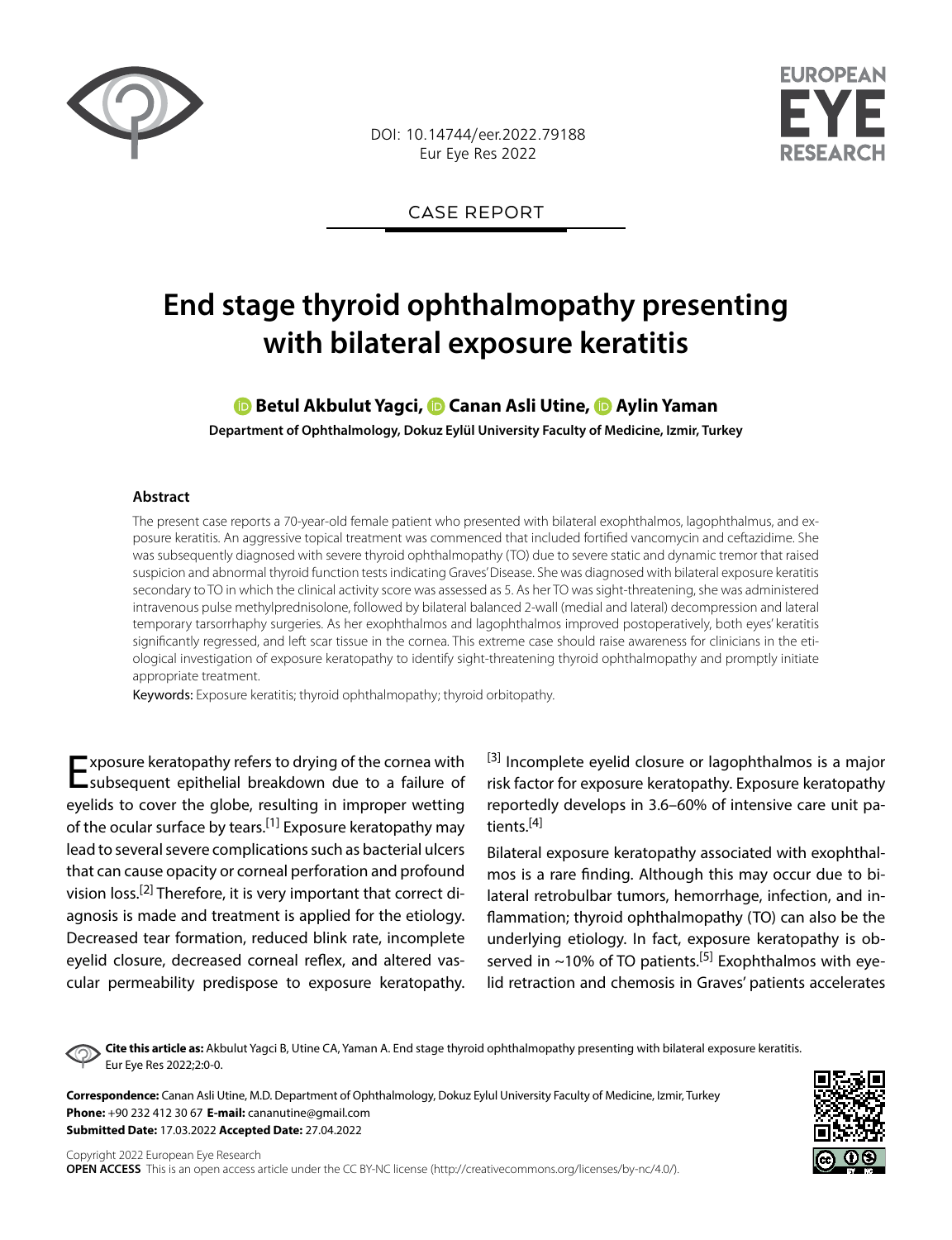

DOI: 10.14744/eer.2022.79188 Eur Eye Res 2022



CASE REPORT

# **End stage thyroid ophthalmopathy presenting with bilateral exposure keratitis**

## **Betul Akbulut Yagci,Canan Asli Utine,Aylin Yaman**

**Department of Ophthalmology, Dokuz Eylül University Faculty of Medicine, Izmir, Turkey**

#### **Abstract**

The present case reports a 70-year-old female patient who presented with bilateral exophthalmos, lagophthalmus, and exposure keratitis. An aggressive topical treatment was commenced that included fortified vancomycin and ceftazidime. She was subsequently diagnosed with severe thyroid ophthalmopathy (TO) due to severe static and dynamic tremor that raised suspicion and abnormal thyroid function tests indicating Graves' Disease. She was diagnosed with bilateral exposure keratitis secondary to TO in which the clinical activity score was assessed as 5. As her TO was sight-threatening, she was administered intravenous pulse methylprednisolone, followed by bilateral balanced 2-wall (medial and lateral) decompression and lateral temporary tarsorrhaphy surgeries. As her exophthalmos and lagophthalmos improved postoperatively, both eyes' keratitis significantly regressed, and left scar tissue in the cornea. This extreme case should raise awareness for clinicians in the etiological investigation of exposure keratopathy to identify sight-threatening thyroid ophthalmopathy and promptly initiate appropriate treatment.

Keywords: Exposure keratitis; thyroid ophthalmopathy; thyroid orbitopathy.

Exposure keratopathy refers to drying of the cornea with subsequent epithelial breakdown due to a failure of eyelids to cover the globe, resulting in improper wetting of the ocular surface by tears.<sup>[1]</sup> Exposure keratopathy may lead to several severe complications such as bacterial ulcers that can cause opacity or corneal perforation and profound vision loss.[2] Therefore, it is very important that correct diagnosis is made and treatment is applied for the etiology. Decreased tear formation, reduced blink rate, incomplete eyelid closure, decreased corneal reflex, and altered vascular permeability predispose to exposure keratopathy.

 $[3]$  Incomplete eyelid closure or lagophthalmos is a major risk factor for exposure keratopathy. Exposure keratopathy reportedly develops in 3.6–60% of intensive care unit patients.[4]

Bilateral exposure keratopathy associated with exophthalmos is a rare finding. Although this may occur due to bilateral retrobulbar tumors, hemorrhage, infection, and inflammation; thyroid ophthalmopathy (TO) can also be the underlying etiology. In fact, exposure keratopathy is observed in  $\sim$ 10% of TO patients.<sup>[5]</sup> Exophthalmos with eyelid retraction and chemosis in Graves' patients accelerates

**Cite this article as:** Akbulut Yagci B, Utine CA, Yaman A. End stage thyroid ophthalmopathy presenting with bilateral exposure keratitis. Eur Eye Res 2022;2:0-0.

**Correspondence:** Canan Asli Utine, M.D. Department of Ophthalmology, Dokuz Eylul University Faculty of Medicine, Izmir, Turkey **Phone:** +90 232 412 30 67 **E-mail:** cananutine@gmail.com **Submitted Date:** 17.03.2022 **Accepted Date:** 27.04.2022

Copyright 2022 European Eye Research **OPEN ACCESS** This is an open access article under the CC BY-NC license (http://creativecommons.org/licenses/by-nc/4.0/).

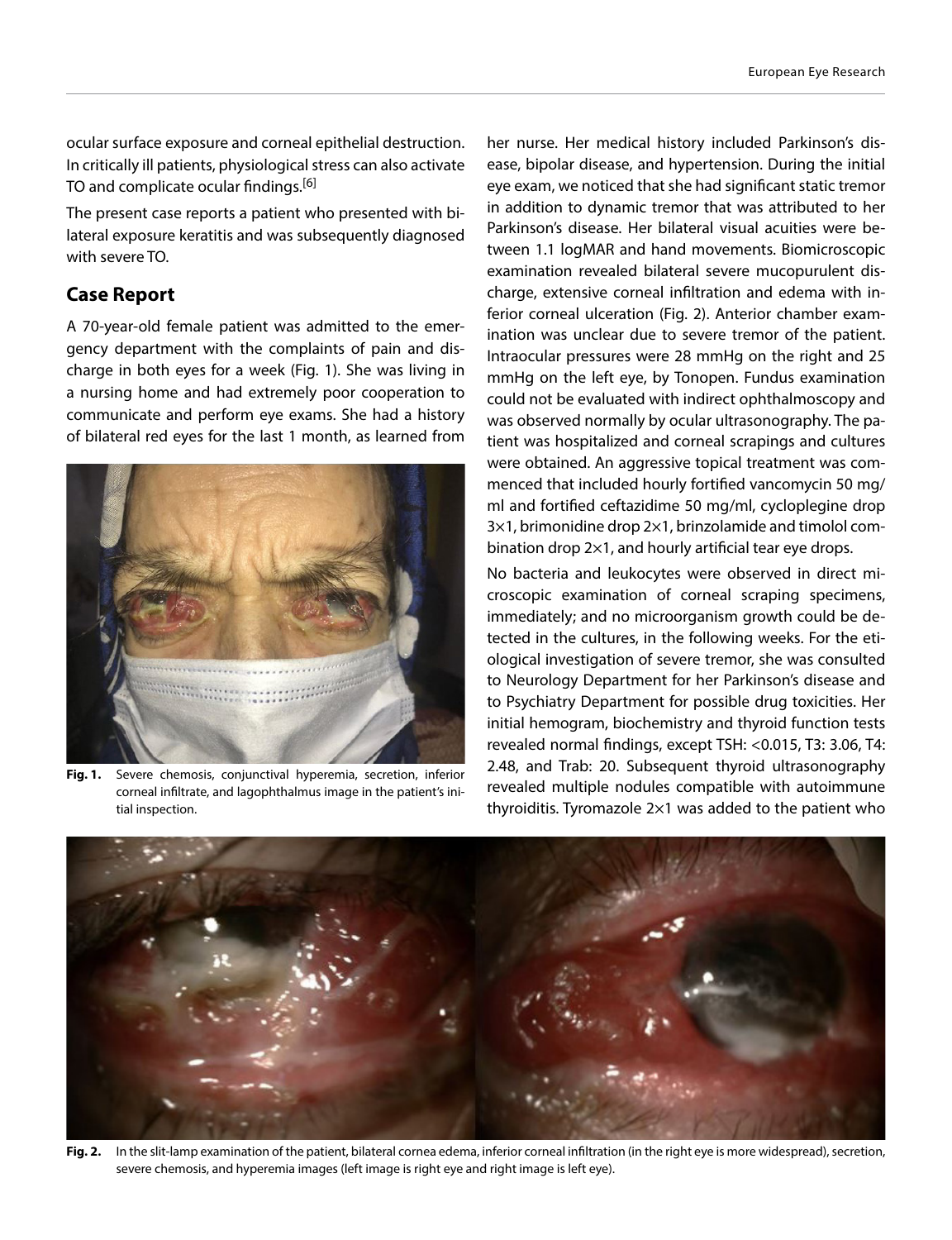ocular surface exposure and corneal epithelial destruction. In critically ill patients, physiological stress can also activate TO and complicate ocular findings.<sup>[6]</sup>

The present case reports a patient who presented with bilateral exposure keratitis and was subsequently diagnosed with severe TO.

## **Case Report**

A 70-year-old female patient was admitted to the emergency department with the complaints of pain and discharge in both eyes for a week (Fig. 1). She was living in a nursing home and had extremely poor cooperation to communicate and perform eye exams. She had a history of bilateral red eyes for the last 1 month, as learned from



**Fig. 1.** Severe chemosis, conjunctival hyperemia, secretion, inferior corneal infiltrate, and lagophthalmus image in the patient's initial inspection.

her nurse. Her medical history included Parkinson's disease, bipolar disease, and hypertension. During the initial eye exam, we noticed that she had significant static tremor in addition to dynamic tremor that was attributed to her Parkinson's disease. Her bilateral visual acuities were between 1.1 logMAR and hand movements. Biomicroscopic examination revealed bilateral severe mucopurulent discharge, extensive corneal infiltration and edema with inferior corneal ulceration (Fig. 2). Anterior chamber examination was unclear due to severe tremor of the patient. Intraocular pressures were 28 mmHg on the right and 25 mmHg on the left eye, by Tonopen. Fundus examination could not be evaluated with indirect ophthalmoscopy and was observed normally by ocular ultrasonography. The patient was hospitalized and corneal scrapings and cultures were obtained. An aggressive topical treatment was commenced that included hourly fortified vancomycin 50 mg/ ml and fortified ceftazidime 50 mg/ml, cycloplegine drop 3×1, brimonidine drop 2×1, brinzolamide and timolol combination drop 2×1, and hourly artificial tear eye drops.

No bacteria and leukocytes were observed in direct microscopic examination of corneal scraping specimens, immediately; and no microorganism growth could be detected in the cultures, in the following weeks. For the etiological investigation of severe tremor, she was consulted to Neurology Department for her Parkinson's disease and to Psychiatry Department for possible drug toxicities. Her initial hemogram, biochemistry and thyroid function tests revealed normal findings, except TSH: <0.015, T3: 3.06, T4: 2.48, and Trab: 20. Subsequent thyroid ultrasonography revealed multiple nodules compatible with autoimmune thyroiditis. Tyromazole 2×1 was added to the patient who



**Fig. 2.** In the slit-lamp examination of the patient, bilateral cornea edema, inferior corneal infiltration (in the right eye is more widespread), secretion, severe chemosis, and hyperemia images (left image is right eye and right image is left eye).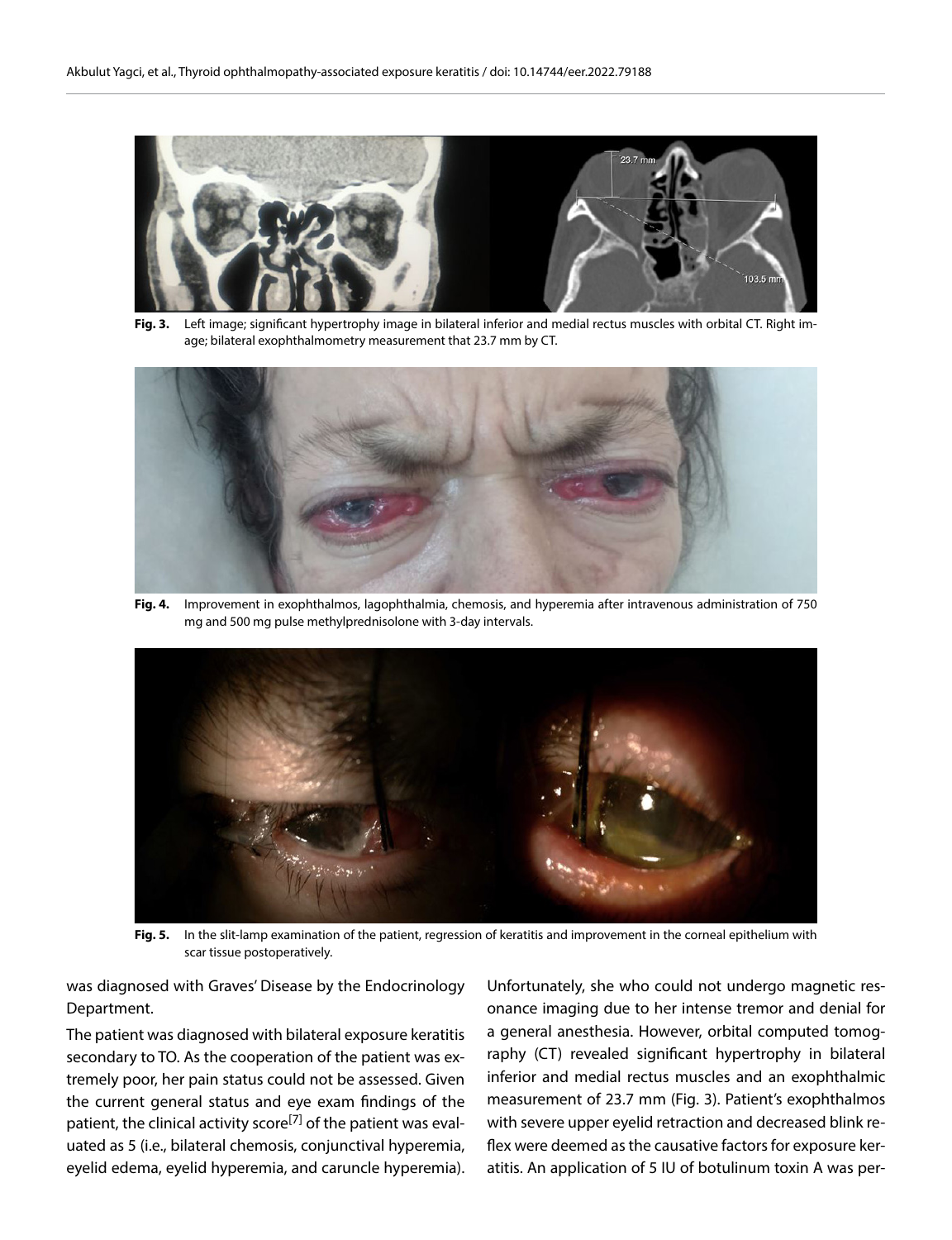

**Fig. 3.** Left image; significant hypertrophy image in bilateral inferior and medial rectus muscles with orbital CT. Right image; bilateral exophthalmometry measurement that 23.7 mm by CT.



**Fig. 4.** Improvement in exophthalmos, lagophthalmia, chemosis, and hyperemia after intravenous administration of 750 mg and 500 mg pulse methylprednisolone with 3-day intervals.



**Fig. 5.** In the slit-lamp examination of the patient, regression of keratitis and improvement in the corneal epithelium with scar tissue postoperatively.

was diagnosed with Graves' Disease by the Endocrinology Department.

The patient was diagnosed with bilateral exposure keratitis secondary to TO. As the cooperation of the patient was extremely poor, her pain status could not be assessed. Given the current general status and eye exam findings of the patient, the clinical activity score<sup>[7]</sup> of the patient was evaluated as 5 (i.e., bilateral chemosis, conjunctival hyperemia, eyelid edema, eyelid hyperemia, and caruncle hyperemia). Unfortunately, she who could not undergo magnetic resonance imaging due to her intense tremor and denial for a general anesthesia. However, orbital computed tomography (CT) revealed significant hypertrophy in bilateral inferior and medial rectus muscles and an exophthalmic measurement of 23.7 mm (Fig. 3). Patient's exophthalmos with severe upper eyelid retraction and decreased blink reflex were deemed as the causative factors for exposure keratitis. An application of 5 IU of botulinum toxin A was per-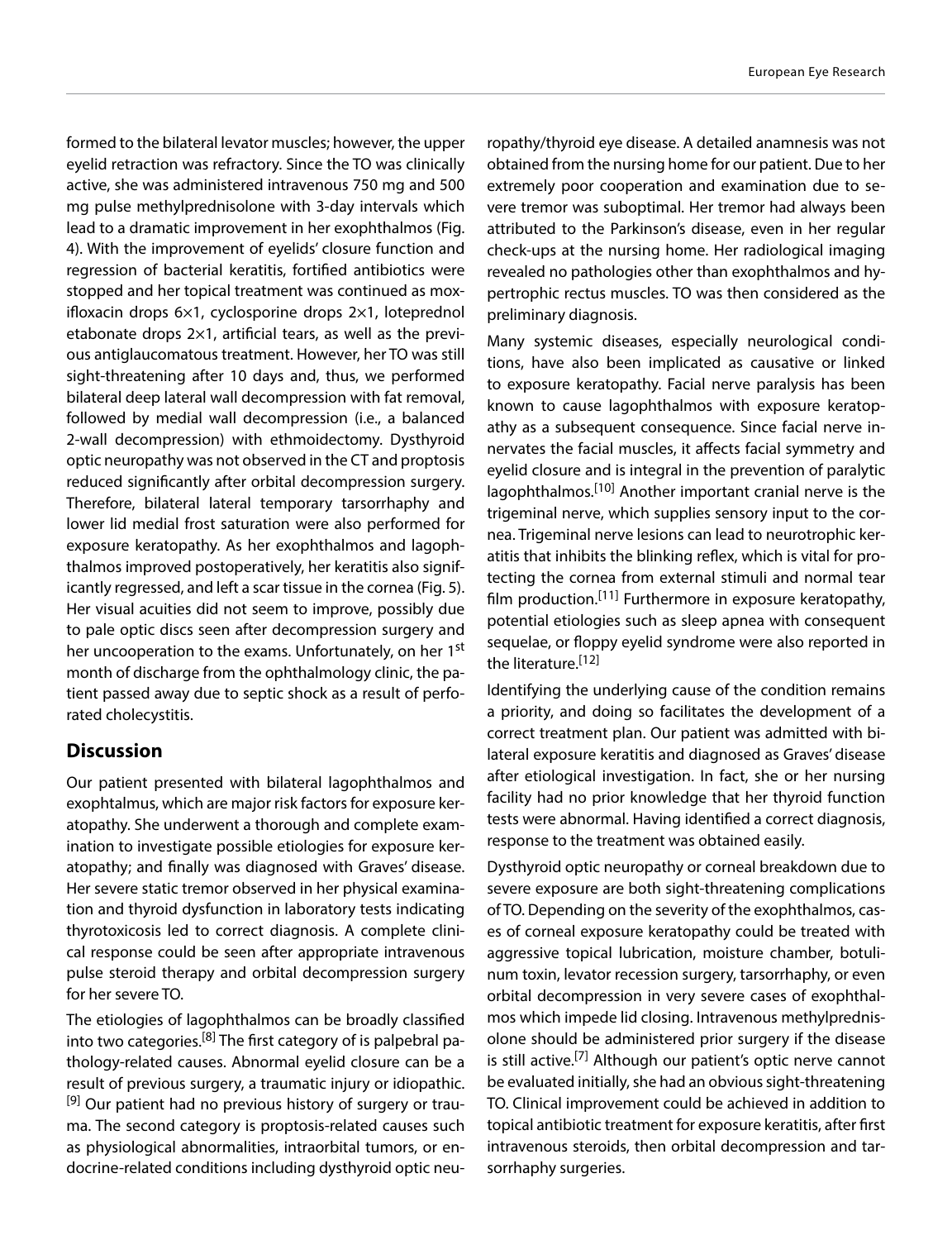formed to the bilateral levator muscles; however, the upper eyelid retraction was refractory. Since the TO was clinically active, she was administered intravenous 750 mg and 500 mg pulse methylprednisolone with 3-day intervals which lead to a dramatic improvement in her exophthalmos (Fig. 4). With the improvement of eyelids' closure function and regression of bacterial keratitis, fortified antibiotics were stopped and her topical treatment was continued as moxifloxacin drops 6×1, cyclosporine drops 2×1, loteprednol etabonate drops 2×1, artificial tears, as well as the previous antiglaucomatous treatment. However, her TO was still sight-threatening after 10 days and, thus, we performed bilateral deep lateral wall decompression with fat removal, followed by medial wall decompression (i.e., a balanced 2-wall decompression) with ethmoidectomy. Dysthyroid optic neuropathy was not observed in the CT and proptosis reduced significantly after orbital decompression surgery. Therefore, bilateral lateral temporary tarsorrhaphy and lower lid medial frost saturation were also performed for exposure keratopathy. As her exophthalmos and lagophthalmos improved postoperatively, her keratitis also significantly regressed, and left a scar tissue in the cornea (Fig. 5). Her visual acuities did not seem to improve, possibly due to pale optic discs seen after decompression surgery and her uncooperation to the exams. Unfortunately, on her 1<sup>st</sup> month of discharge from the ophthalmology clinic, the patient passed away due to septic shock as a result of perforated cholecystitis.

## **Discussion**

Our patient presented with bilateral lagophthalmos and exophtalmus, which are major risk factors for exposure keratopathy. She underwent a thorough and complete examination to investigate possible etiologies for exposure keratopathy; and finally was diagnosed with Graves' disease. Her severe static tremor observed in her physical examination and thyroid dysfunction in laboratory tests indicating thyrotoxicosis led to correct diagnosis. A complete clinical response could be seen after appropriate intravenous pulse steroid therapy and orbital decompression surgery for her severe TO.

The etiologies of lagophthalmos can be broadly classified into two categories.<sup>[8]</sup> The first category of is palpebral pathology-related causes. Abnormal eyelid closure can be a result of previous surgery, a traumatic injury or idiopathic. <sup>[9]</sup> Our patient had no previous history of surgery or trauma. The second category is proptosis-related causes such as physiological abnormalities, intraorbital tumors, or endocrine-related conditions including dysthyroid optic neu-

ropathy/thyroid eye disease. A detailed anamnesis was not obtained from the nursing home for our patient. Due to her extremely poor cooperation and examination due to severe tremor was suboptimal. Her tremor had always been attributed to the Parkinson's disease, even in her regular check-ups at the nursing home. Her radiological imaging revealed no pathologies other than exophthalmos and hypertrophic rectus muscles. TO was then considered as the preliminary diagnosis.

Many systemic diseases, especially neurological conditions, have also been implicated as causative or linked to exposure keratopathy. Facial nerve paralysis has been known to cause lagophthalmos with exposure keratopathy as a subsequent consequence. Since facial nerve innervates the facial muscles, it affects facial symmetry and eyelid closure and is integral in the prevention of paralytic lagophthalmos.[10] Another important cranial nerve is the trigeminal nerve, which supplies sensory input to the cornea. Trigeminal nerve lesions can lead to neurotrophic keratitis that inhibits the blinking reflex, which is vital for protecting the cornea from external stimuli and normal tear film production.[11] Furthermore in exposure keratopathy, potential etiologies such as sleep apnea with consequent sequelae, or floppy eyelid syndrome were also reported in the literature.<sup>[12]</sup>

Identifying the underlying cause of the condition remains a priority, and doing so facilitates the development of a correct treatment plan. Our patient was admitted with bilateral exposure keratitis and diagnosed as Graves' disease after etiological investigation. In fact, she or her nursing facility had no prior knowledge that her thyroid function tests were abnormal. Having identified a correct diagnosis, response to the treatment was obtained easily.

Dysthyroid optic neuropathy or corneal breakdown due to severe exposure are both sight-threatening complications of TO. Depending on the severity of the exophthalmos, cases of corneal exposure keratopathy could be treated with aggressive topical lubrication, moisture chamber, botulinum toxin, levator recession surgery, tarsorrhaphy, or even orbital decompression in very severe cases of exophthalmos which impede lid closing. Intravenous methylprednisolone should be administered prior surgery if the disease is still active.<sup>[7]</sup> Although our patient's optic nerve cannot be evaluated initially, she had an obvious sight-threatening TO. Clinical improvement could be achieved in addition to topical antibiotic treatment for exposure keratitis, after first intravenous steroids, then orbital decompression and tarsorrhaphy surgeries.